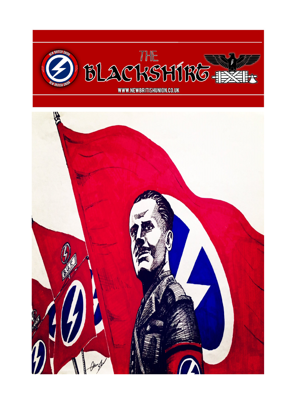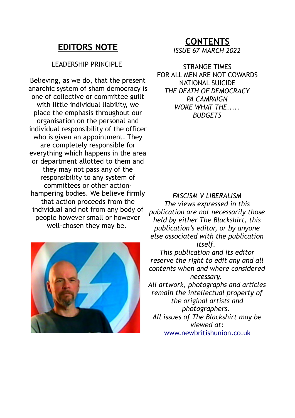## **EDITORS NOTE**

#### LEADERSHIP PRINCIPLE

Believing, as we do, that the present anarchic system of sham democracy is one of collective or committee guilt with little individual liability, we place the emphasis throughout our organisation on the personal and individual responsibility of the officer who is given an appointment. They are completely responsible for everything which happens in the area or department allotted to them and they may not pass any of the responsibility to any system of committees or other actionhampering bodies. We believe firmly that action proceeds from the individual and not from any body of people however small or however well-chosen they may be.



## **CONTENTS**

*ISSUE 67 MARCH 2022*

STRANGE TIMES FOR ALL MEN ARE NOT COWARDS NATIONAL SUICIDE *THE DEATH OF DEMOCRACY PA CAMPAIGN WOKE WHAT THE..... BUDGETS*

*FASCISM V LIBERALISM The views expressed in this publication are not necessarily those held by either The Blackshirt, this publication's editor, or by anyone else associated with the publication itself.* 

*This publication and its editor reserve the right to edit any and all contents when and where considered necessary. All artwork, photographs and articles remain the intellectual property of the original artists and photographers. All issues of The Blackshirt may be viewed at:* [www.newbritishunion.co.uk](http://www.newbritishunion.co.uk/)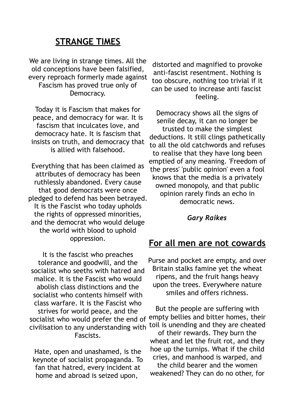## **STRANGE TIMES**

We are living in strange times. All the old conceptions have been falsified, every reproach formerly made against Fascism has proved true only of Democracy.

Today it is Fascism that makes for peace, and democracy for war. It is fascism that inculcates love, and democracy hate. It is fascism that insists on truth, and democracy that is allied with falsehood.

Everything that has been claimed as attributes of democracy has been ruthlessly abandoned. Every cause that good democrats were once pledged to defend has been betrayed. It is the Fascist who today upholds the rights of oppressed minorities, and the democrat who would deluge the world with blood to uphold oppression.

It is the fascist who preaches tolerance and goodwill, and the socialist who seeths with hatred and malice. It is the Fascist who would abolish class distinctions and the socialist who contents himself with class warfare. It is the Fascist who strives for world peace, and the socialist who would prefer the end of empty bellies and bitter homes, their civilisation to any understanding with Fascists.

Hate, open and unashamed, is the keynote of socialist propaganda. To fan that hatred, every incident at home and abroad is seized upon,

distorted and magnified to provoke anti-fascist resentment. Nothing is too obscure, nothing too trivial if it can be used to increase anti fascist feeling.

Democracy shows all the signs of senile decay, it can no longer be trusted to make the simplest deductions. It still clings pathetically to all the old catchwords and refuses to realise that they have long been emptied of any meaning. 'Freedom of the press' 'public opinion' even a fool knows that the media is a privately owned monopoly, and that public opinion rarely finds an echo in democratic news.

#### *Gary Raikes*

#### **For all men are not cowards**

Purse and pocket are empty, and over Britain stalks famine yet the wheat ripens, and the fruit hangs heavy upon the trees. Everywhere nature smiles and offers richness.

But the people are suffering with toil is unending and they are cheated

of their rewards. They burn the wheat and let the fruit rot, and they hoe up the turnips. What if the child cries, and manhood is warped, and

the child bearer and the women weakened? They can do no other, for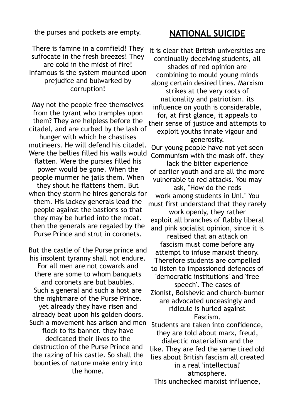the purses and pockets are empty.

There is famine in a cornfield! They suffocate in the fresh breezes! They are cold in the midst of fire! Infamous is the system mounted upon prejudice and bulwarked by corruption!

May not the people free themselves from the tyrant who tramples upon them? They are helpless before the citadel, and are curbed by the lash of hunger with which he chastises mutineers. He will defend his citadel. Were the bellies filled his walls would flatten. Were the pursies filled his power would be gone. When the people murmer he jails them. When they shout he flattens them. But when they storm he hires generals for them. His lackey generals lead the people against the bastions so that they may be hurled into the moat. then the generals are regaled by the Purse Prince and strut in coronets.

But the castle of the Purse prince and his insolent tyranny shall not endure. For all men are not cowards and there are some to whom banquets and coronets are but baubles. Such a general and such a host are the nightmare of the Purse Prince. yet already they have risen and already beat upon his golden doors. Such a movement has arisen and men flock to its banner. they have dedicated their lives to the destruction of the Purse Prince and the razing of his castle. So shall the bounties of nature make entry into the home.

## **NATIONAL SUICIDE**

It is clear that British universities are continually deceiving students, all shades of red opinion are combining to mould young minds along certain desired lines. Marxism strikes at the very roots of nationality and patriotism. its influence on youth is considerable, for, at first glance, it appeals to their sense of justice and attempts to exploit youths innate vigour and generosity. Our young people have not yet seen Communism with the mask off. they lack the bitter experience of earlier youth and are all the more vulnerable to red attacks. You may ask, "How do the reds work among students in Uni." You must first understand that they rarely work openly, they rather exploit all branches of flabby liberal and pink socialist opinion, since it is realised that an attack on fascism must come before any attempt to infuse marxist theory. Therefore students are compelled to listen to impassioned defences of 'democratic institutions' and 'free speech'. The cases of Zionist, Bolshevic and church-burner are advocated unceasingly and ridicule is hurled against Fascism. Students are taken into confidence, they are told about marx, freud, dialectic materialism and the like. They are fed the same tired old

lies about British fascism all created in a real 'intellectual' atmosphere.

This unchecked marxist influence,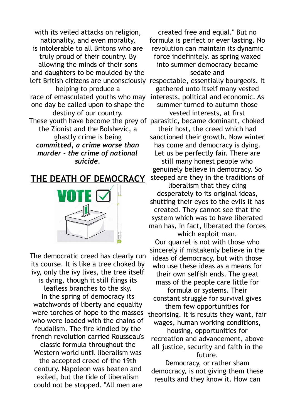with its veiled attacks on religion, nationality, and even morality, is intolerable to all Britons who are truly proud of their country. By allowing the minds of their sons and daughters to be moulded by the left British citizens are unconsciously respectable, essentially bourgeois. It helping to produce a race of emasculated youths who may interests, political and economic. As one day be called upon to shape the destiny of our country. These youth have become the prey of parasitic, became dominant, choked the Zionist and the Bolshevic, a ghastly crime is being *committed, a crime worse than murder - the crime of national suicide.*



The democratic creed has clearly run its course. It is like a tree choked by ivy, only the ivy lives, the tree itself is dying, though it still flings its leafless branches to the sky. In the spring of democracy its watchwords of liberty and equality were torches of hope to the masses who were loaded with the chains of feudalism. The fire kindled by the french revolution carried Rousseau's classic formula throughout the Western world until liberalism was the accepted creed of the 19th century. Napoleon was beaten and exiled, but the tide of liberalism could not be stopped. "All men are

created free and equal." But no formula is perfect or ever lasting. No revolution can maintain its dynamic force indefinitely. as spring waxed into summer democracy became sedate and gathered unto itself many vested summer turned to autumn those vested interests, at first their host, the creed which had sanctioned their growth. Now winter has come and democracy is dying. Let us be perfectly fair. There are still many honest people who genuinely believe in democracy. So steeped are they in the traditions of liberalism that they cling desperately to its original ideas, shutting their eyes to the evils it has created. They cannot see that the system which was to have liberated man has, in fact, liberated the forces which exploit man. Our quarrel is not with those who sincerely if mistakenly believe in the ideas of democracy, but with those

who use these ideas as a means for their own selfish ends. The great mass of the people care little for formula or systems. Their constant struggle for survival gives them few opportunities for theorising. It is results they want, fair wages, human working conditions, housing, opportunities for recreation and advancement, above all justice, security and faith in the future.

Democracy, or rather sham democracy, is not giving them these results and they know it. How can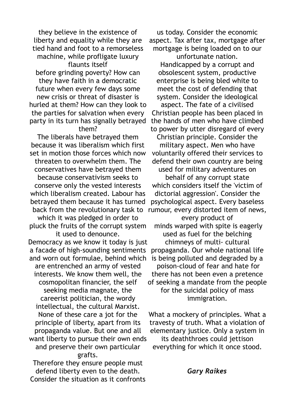they believe in the existence of liberty and equality while they are tied hand and foot to a remorseless machine, while profligate luxury

flaunts itself

before grinding poverty? How can they have faith in a democratic future when every few days some new crisis or threat of disaster is hurled at them? How can they look to the parties for salvation when every party in its turn has signally betrayed them?

The liberals have betrayed them because it was liberalism which first set in motion those forces which now threaten to overwhelm them. The conservatives have betrayed them because conservativism seeks to conserve only the vested interests which liberalism created. Labour has betrayed them because it has turned back from the revolutionary task to which it was pledged in order to pluck the fruits of the corrupt system it used to denounce. Democracy as we know it today is just a facade of high-sounding sentiments and worn out formulae, behind which are entrenched an army of vested interests. We know them well, the cosmopolitan financier, the self seeking media magnate, the careerist politician, the wordy intellectual, the cultural Marxist. None of these care a jot for the principle of liberty, apart from its propaganda value. But one and all want liberty to pursue their own ends and preserve their own particular

#### grafts.

Therefore they ensure people must defend liberty even to the death. Consider the situation as it confronts

us today. Consider the economic aspect. Tax after tax, mortgage after mortgage is being loaded on to our

unfortunate nation. Handicapped by a corrupt and obsolescent system, productive enterprise is being bled white to meet the cost of defending that system. Consider the ideological aspect. The fate of a civilised Christian people has been placed in the hands of men who have climbed to power by utter disregard of every

Christian principle. Consider the military aspect. Men who have voluntarily offered their services to defend their own country are being used for military adventures on behalf of any corrupt state which considers itself the 'victim of dictorial aggression'. Consider the psychological aspect. Every baseless rumour, every distorted item of news, every product of minds warped with spite is eagerly used as fuel for the belching chimneys of multi- cultural

propaganda. Our whole national life is being polluted and degraded by a poison-cloud of fear and hate for there has not been even a pretence of seeking a mandate from the people for the suicidal policy of mass immigration.

What a mockery of principles. What a travesty of truth. What a violation of elementary justice. Only a system in its deaththroes could jettison everything for which it once stood.

*Gary Raikes*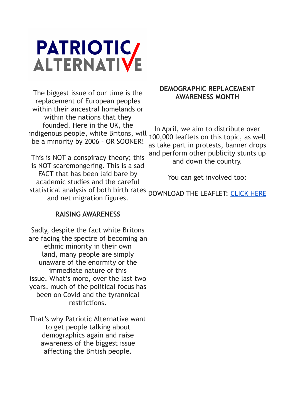# **PATRIOTIC/<br>ALTERNATIVE**

The biggest issue of our time is the replacement of European peoples within their ancestral homelands or within the nations that they founded. Here in the UK, the indigenous people, white Britons, will be a minority by 2006 – OR SOONER!

This is NOT a conspiracy theory; this is NOT scaremongering. This is a sad FACT that has been laid bare by academic studies and the careful statistical analysis of both birth rates

#### **DEMOGRAPHIC REPLACEMENT AWARENESS MONTH**

In April, we aim to distribute over 100,000 leaflets on this topic, as well as take part in protests, banner drops and perform other publicity stunts up and down the country.

You can get involved too:

and net migration figures. DOWNLOAD THE LEAFLET: [CLICK HERE](https://www.patrioticalternative.org.uk/r?u=fk3qs1mHicx9-w03tafB2G8vNGMp4KGcuuJPtVN2Yha2eHP94AToEv0A68q--KJRXQvzgIszw28Oi5UdcKz9rQ7rMJ-ZZyT7-W6hRJ-O1Ul2Uzy6iCqDFF5aboy9hqqChLDO7it9-8-csiRUU7jsGY0r6qPtwpJ9YhMRtqshSJLYK0AZyEO_8d7kk9xl_yId&e=16aa11f6c8079af52a5f511ffc9b38a4&utm_source=patrioticalternative&utm_medium=email&utm_campaign=drama&n=1)

#### **RAISING AWARENESS**

Sadly, despite the fact white Britons are facing the spectre of becoming an ethnic minority in their own land, many people are simply unaware of the enormity or the immediate nature of this issue. What's more, over the last two years, much of the political focus has been on Covid and the tyrannical restrictions.

That's why Patriotic Alternative want to get people talking about demographics again and raise awareness of the biggest issue affecting the British people.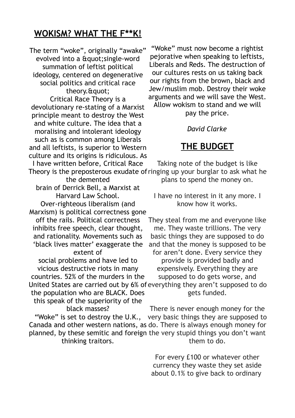## **WOKISM? WHAT THE F\*\*K!**

The term "woke", originally "awake" evolved into a *f*rauot:single-word summation of leftist political ideology, centered on degenerative social politics and critical race theory. & quot: Critical Race Theory is a devolutionary re-stating of a Marxist principle meant to destroy the West and white culture. The idea that a moralising and intolerant ideology such as is common among Liberals and all leftists, is superior to Western culture and its origins is ridiculous. As

"Woke" must now become a rightist pejorative when speaking to leftists, Liberals and Reds. The destruction of our cultures rests on us taking back our rights from the brown, black and Jew/muslim mob. Destroy their woke arguments and we will save the West. Allow wokism to stand and we will

pay the price.

*David Clarke*

## **THE BUDGET**

I have written before, Critical Race Theory is the preposterous exudate of ringing up your burglar to ask what he the demented Taking note of the budget is like plans to spend the money on.

brain of Derrick Bell, a Marxist at Harvard Law School.

Over-righteous liberalism (and Marxism) is political correctness gone off the rails. Political correctness inhibits free speech, clear thought, and rationality. Movements such as 'black lives matter' exaggerate the extent of

social problems and have led to vicious destructive riots in many countries. 52% of the murders in the United States are carried out by 6% of everything they aren't supposed to do the population who are BLACK. Does

this speak of the superiority of the black masses?

I have no interest in it any more. I know how it works.

They steal from me and everyone like me. They waste trillions. The very basic things they are supposed to do and that the money is supposed to be for aren't done. Every service they provide is provided badly and expensively. Everything they are supposed to do gets worse, and gets funded.

"Woke" is set to destroy the U.K., Canada and other western nations, as do. There is always enough money for planned, by these semitic and foreign the very stupid things you don't want thinking traitors. There is never enough money for the very basic things they are supposed to them to do.

> For every £100 or whatever other currency they waste they set aside about 0.1% to give back to ordinary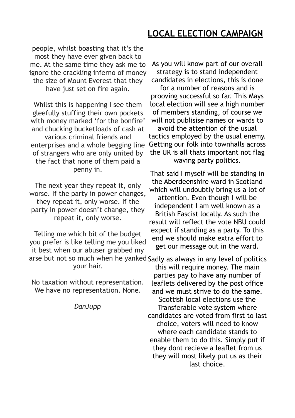people, whilst boasting that it's the most they have ever given back to me. At the same time they ask me to ignore the crackling inferno of money the size of Mount Everest that they have just set on fire again.

Whilst this is happening I see them gleefully stuffing their own pockets with money marked 'for the bonfire' and chucking bucketloads of cash at various criminal friends and enterprises and a whole begging line of strangers who are only united by the fact that none of them paid a penny in.

The next year they repeat it, only worse. If the party in power changes, they repeat it, only worse. If the party in power doesn't change, they repeat it, only worse.

Telling me which bit of the budget you prefer is like telling me you liked it best when our abuser grabbed my arse but not so much when he yanked Sadly as always in any level of politics your hair.

No taxation without representation. We have no representation. None.

*DanJupp*

As you will know part of our overall strategy is to stand independent candidates in elections, this is done

for a number of reasons and is prooving successful so far. This Mays local election will see a high number of members standing, of course we will not publisise names or wards to avoid the attention of the usual tactics employed by the usual enemy. Getting our folk into townhalls across the UK is all thats important not flag

waving party politics.

That said I myself will be standing in the Aberdeenshire ward in Scotland which will undoubtly bring us a lot of attention. Even though I will be independent I am well known as a British Fascist locally. As such the result will reflect the vote NBU could expect if standing as a party. To this end we should make extra effort to get our message out in the ward.

this will require money. The main parties pay to have any number of leaflets delivered by the post office and we must strive to do the same. Scottish local elections use the Transferable vote system where candidates are voted from first to last choice, voters will need to know where each candidate stands to enable them to do this. Simply put if they dont recieve a leaflet from us they will most likely put us as their last choice.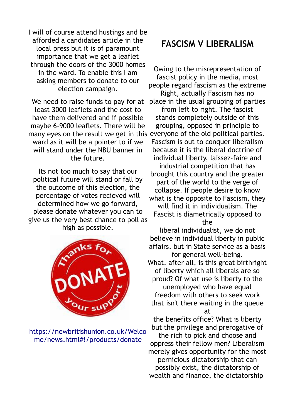I will of course attend hustings and be afforded a candidates article in the local press but it is of paramount importance that we get a leaflet through the doors of the 3000 homes in the ward. To enable this I am asking members to donate to our election campaign.

We need to raise funds to pay for at least 3000 leaflets and the cost to have them delivered and if possible maybe 6-9000 leaflets. There will be many eyes on the result we get in this everyone of the old political parties. ward as it will be a pointer to if we will stand under the NBU banner in the future.

Its not too much to say that our political future will stand or fall by the outcome of this election, the percentage of votes recieved will determined how we go forward, please donate whatever you can to give us the very best chance to poll as high as possible.



[https://newbritishunion.co.uk/Welco](https://newbritishunion.co.uk/Welcome/news.html#!/products/donate) [me/news.html#!/products/donate](https://newbritishunion.co.uk/Welcome/news.html#!/products/donate)

## **FASCISM V LIBERALISM**

Owing to the misrepresentation of fascist policy in the media, most people regard fascism as the extreme Right, actually Fascism has no place in the usual grouping of parties from left to right. The fascist stands completely outside of this grouping, opposed in principle to Fascism is out to conquer liberalism because it is the liberal doctrine of individual liberty, laissez-faire and industrial competition that has brought this country and the greater part of the world to the verge of collapse. If people desire to know what is the opposite to Fascism, they will find it in individualism. The Fascist is diametrically opposed to the

liberal individualist, we do not believe in individual liberty in public affairs, but in State service as a basis for general well-being. What, after all, is this great birthright of liberty which all liberals are so proud? Of what use is liberty to the unemployed who have equal freedom with others to seek work that isn't there waiting in the queue

at

the benefits office? What is liberty but the privilege and prerogative of the rich to pick and choose and oppress their fellow men? Liberalism merely gives opportunity for the most pernicious dictatorship that can possibly exist, the dictatorship of wealth and finance, the dictatorship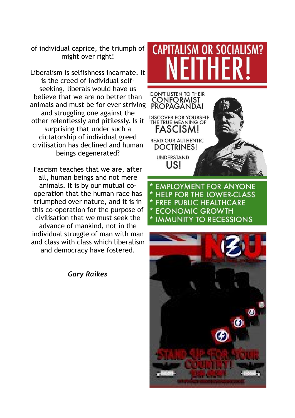of individual caprice, the triumph of might over right!

Liberalism is selfishness incarnate. It is the creed of individual selfseeking, liberals would have us believe that we are no better than animals and must be for ever striving and struggling one against the other relentlessly and pitilessly. Is it surprising that under such a dictatorship of individual greed civilisation has declined and human beings degenerated?

Fascism teaches that we are, after all, human beings and not mere animals. It is by our mutual cooperation that the human race has triumphed over nature, and it is in this co-operation for the purpose of civilisation that we must seek the advance of mankind, not in the individual struggle of man with man and class with class which liberalism and democracy have fostered.

*Gary Raikes*



**CAPITALISM OR SOCIALISM?** 

**DOCTRINES! UNDERSTAND** US!

**EMPLOYMENT FOR ANYONE HELP FOR THE LOWER-CLASS FREE PUBLIC HEALTHCARE ECONOMIC GROWTH** 

**IMMUNITY TO RECESSIONS**